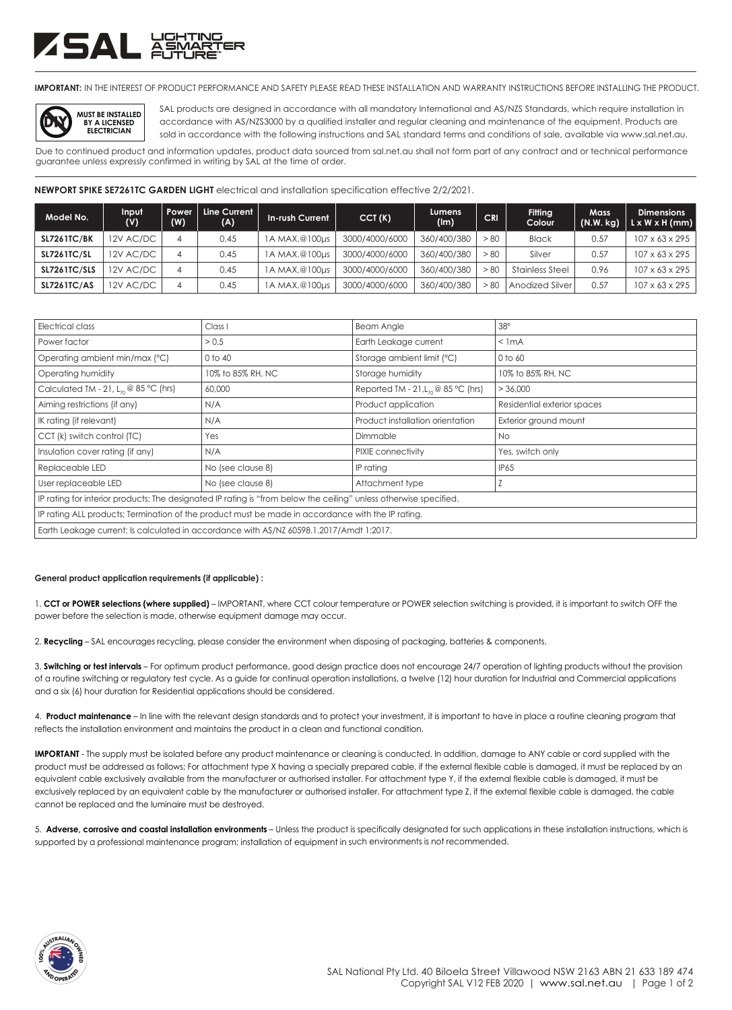## ZSAL XX

**IMPORTANT:** IN THE INTEREST OF PRODUCT PERFORMANCE AND SAFETY PLEASE READ THESE INSTALLATION AND WARRANTY INSTRUCTIONS BEFORE INSTALLING THE PRODUCT.



SAL products are designed in accordance with all mandatory International and AS/NZS Standards, which require installation in accordance with AS/NZS3000 by a qualified installer and regular cleaning and maintenance of the equipment. Products are sold in accordance with the following instructions and SAL standard terms and conditions of sale, available via www.sal.net.au.

Due to continued product and information updates, product data sourced from sal.net.au shall not form part of any contract and or technical performance guarantee unless expressly confirmed in writing by SAL at the time of order.

**NEWPORT SPIKE SE7261TC GARDEN LIGHT** electrical and installation specification effective 2/2/2021.

| Model No.           | Input<br>(V) | Power<br>(W) | Line Current<br>(A) | <b>In-rush Current</b> | CCT(K)         | Lumens<br>(lm) | <b>CRI</b> | Fitting<br>Colour      | <b>Mass</b><br>(N.W. kg) | <b>Dimensions</b><br>L x W x H (mm) |
|---------------------|--------------|--------------|---------------------|------------------------|----------------|----------------|------------|------------------------|--------------------------|-------------------------------------|
| <b>SL7261TC/BK</b>  | 12V AC/DC    |              | 0.45                | 1A MAX.@100µs          | 3000/4000/6000 | 360/400/380    | > 80       | <b>Black</b>           | 0.57                     | $107 \times 63 \times 295$          |
| <b>SL7261TC/SL</b>  | 12V AC/DC    | 4            | 0.45                | 1A MAX.@100µs          | 3000/4000/6000 | 360/400/380    | > 80       | Silver                 | 0.57                     | $107 \times 63 \times 295$          |
| <b>SL7261TC/SLS</b> | 12V AC/DC    | 4            | 0.45                | 1A MAX.@100µs          | 3000/4000/6000 | 360/400/380    | - 80       | <b>Stainless Steel</b> | 0.96                     | $107 \times 63 \times 295$          |
| <b>SL7261TC/AS</b>  | 2V AC/DC     | 4            | 0.45                | 1A MAX.@100µs          | 3000/4000/6000 | 360/400/380    | - 80       | Anodized Silver        | 0.57                     | 107 x 63 x 295                      |

| Electrical class                                                                                                  | Class <sub>1</sub> | <b>Beam Angle</b>                           | 38°                         |  |  |  |  |
|-------------------------------------------------------------------------------------------------------------------|--------------------|---------------------------------------------|-----------------------------|--|--|--|--|
| Power factor                                                                                                      | > 0.5              | Earth Leakage current                       | $<$ 1 mA                    |  |  |  |  |
| Operating ambient min/max (°C)                                                                                    | $0$ to $40$        | Storage ambient limit (°C)                  | 0 to 60                     |  |  |  |  |
| Operating humidity                                                                                                | 10% to 85% RH, NC  | Storage humidity                            | 10% to 85% RH, NC           |  |  |  |  |
| Calculated TM - 21, $L_{70}$ @ 85 °C (hrs)                                                                        | 60,000             | Reported TM - 21, $L_n \otimes 85$ °C (hrs) | > 36,000                    |  |  |  |  |
| Aiming restrictions (if any)                                                                                      | N/A                | Product application                         | Residential exterior spaces |  |  |  |  |
| IK rating (if relevant)                                                                                           | N/A                | Product installation orientation            | Exterior ground mount       |  |  |  |  |
| CCT (k) switch control (TC)                                                                                       | Yes                | Dimmable                                    | <b>No</b>                   |  |  |  |  |
| Insulation cover rating (if any)                                                                                  | N/A                | PIXIE connectivity                          | Yes, switch only            |  |  |  |  |
| Replaceable LED                                                                                                   | No (see clause 8)  | IP rating                                   | IP65                        |  |  |  |  |
| User replaceable LED                                                                                              | No (see clause 8)  | Attachment type                             |                             |  |  |  |  |
| IP rating for interior products: The designated IP rating is "from below the ceiling" unless otherwise specified. |                    |                                             |                             |  |  |  |  |
| IP rating ALL products; Termination of the product must be made in accordance with the IP rating.                 |                    |                                             |                             |  |  |  |  |
| Earth Leakage current: Is calculated in accordance with AS/NZ 60598.1.2017/Amdt 1:2017.                           |                    |                                             |                             |  |  |  |  |

## **General product application requirements (if applicable) :**

1. **CCT or POWER selections (where supplied)** – IMPORTANT, where CCT colour temperature or POWER selection switching is provided, it is important to switch OFF the power before the selection is made, otherwise equipment damage may occur.

2. **Recycling** – SAL encourages recycling, please consider the environment when disposing of packaging, batteries & components.

3. **Switching or test intervals** – For optimum product performance, good design practice does not encourage 24/7 operation of lighting products without the provision of a routine switching or regulatory test cycle. As a guide for continual operation installations, a twelve (12) hour duration for Industrial and Commercial applications and a six (6) hour duration for Residential applications should be considered.

4. **Product maintenance** – In line with the relevant design standards and to protect your investment, it is important to have in place a routine cleaning program that reflects the installation environment and maintains the product in a clean and functional condition.

**IMPORTANT** - The supply must be isolated before any product maintenance or cleaning is conducted. In addition, damage to ANY cable or cord supplied with the product must be addressed as follows; For attachment type X having a specially prepared cable, if the external flexible cable is damaged, it must be replaced by an equivalent cable exclusively available from the manufacturer or authorised installer. For attachment type Y, if the external flexible cable is damaged, it must be exclusively replaced by an equivalent cable by the manufacturer or authorised installer. For attachment type Z, if the external flexible cable is damaged, the cable cannot be replaced and the luminaire must be destroyed.

5. **Adverse, corrosive and coastal installation environments** – Unless the product is specifically designated for such applications in these installation instructions, which is supported by a professional maintenance program; installation of equipment in such environments is not recommended.